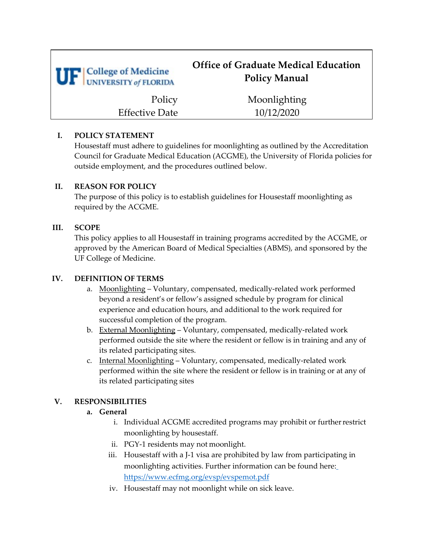| <b>UF</b> College of Medicine<br>UNIVERSITY of FLORIDA | <b>Office of Graduate Medical Education</b><br><b>Policy Manual</b> |
|--------------------------------------------------------|---------------------------------------------------------------------|
| Policy                                                 | Moonlighting                                                        |
| <b>Effective Date</b>                                  | 10/12/2020                                                          |

### **I. POLICY STATEMENT**

Housestaff must adhere to guidelines for moonlighting as outlined by the Accreditation Council for Graduate Medical Education (ACGME), the University of Florida policies for outside employment, and the procedures outlined below.

### **II. REASON FOR POLICY**

The purpose of this policy is to establish guidelines for Housestaff moonlighting as required by the ACGME.

## **III. SCOPE**

This policy applies to all Housestaff in training programs accredited by the ACGME, or approved by the American Board of Medical Specialties (ABMS), and sponsored by the UF College of Medicine.

# **IV. DEFINITION OF TERMS**

- a. Moonlighting Voluntary, compensated, medically-related work performed beyond a resident's or fellow's assigned schedule by program for clinical experience and education hours, and additional to the work required for successful completion of the program.
- b. External Moonlighting Voluntary, compensated, medically-related work performed outside the site where the resident or fellow is in training and any of its related participating sites.
- c. Internal Moonlighting Voluntary, compensated, medically-related work performed within the site where the resident or fellow is in training or at any of its related participating sites

# **V. RESPONSIBILITIES**

# **a. General**

- i. Individual ACGME accredited programs may prohibit or furtherrestrict moonlighting by housestaff.
- ii. PGY-1 residents may not moonlight.
- iii. Housestaff with a J-1 visa are prohibited by law from participating in moonlighting activities. Further information can be found here[:](https://www.ecfmg.org/evsp/evspemot.pdf) <https://www.ecfmg.org/evsp/evspemot.pdf>
- iv. Housestaff may not moonlight while on sick leave.